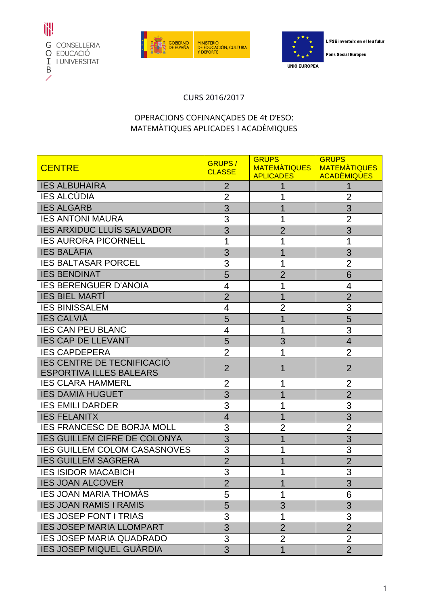





L'FSE inverteix en el teu futur

**Fons Social Europeu** 

## CURS 2016/2017

## OPERACIONS COFINANÇADES DE 4t D'ESO: MATEMÀTIQUES APLICADES I ACADÈMIQUES

| <b>CENTRE</b>                       | <b>GRUPS/</b>  | <b>GRUPS</b><br>MATEMATIQUES | <b>GRUPS</b><br><b>MATEMATIQUES</b> |
|-------------------------------------|----------------|------------------------------|-------------------------------------|
|                                     | <b>CLASSE</b>  | <b>APLICADES</b>             | <b>ACADÈMIQUES</b>                  |
| <b>IES ALBUHAIRA</b>                | $\overline{2}$ |                              |                                     |
| <b>IES ALCÚDIA</b>                  | $\overline{2}$ |                              | $\overline{2}$                      |
| <b>IES ALGARB</b>                   | 3              |                              | 3                                   |
| <b>IES ANTONI MAURA</b>             | 3              | 1                            | $\overline{2}$                      |
| <b>IES ARXIDUC LLUÍS SALVADOR</b>   | 3              | $\overline{2}$               | 3                                   |
| <b>IES AURORA PICORNELL</b>         | 1              |                              |                                     |
| <b>IES BALÀFIA</b>                  | 3              |                              | 3                                   |
| <b>IES BALTASAR PORCEL</b>          | 3              |                              | $\overline{2}$                      |
| <b>IES BENDINAT</b>                 | 5              | $\overline{2}$               | 6                                   |
| <b>IES BERENGUER D'ANOIA</b>        | 4              | 1                            | 4                                   |
| <b>IES BIEL MARTI</b>               | $\overline{2}$ | 1                            | $\overline{2}$                      |
| <b>IES BINISSALEM</b>               | 4              | $\overline{2}$               | 3                                   |
| <b>IES CALVIÀ</b>                   | 5              | 1                            | 5                                   |
| <b>IES CAN PEU BLANC</b>            | $\overline{4}$ | 1                            | 3                                   |
| <b>IES CAP DE LLEVANT</b>           | 5              | 3                            | 4                                   |
| <b>IES CAPDEPERA</b>                | $\overline{2}$ |                              | $\overline{2}$                      |
| <b>IES CENTRE DE TECNIFICACIÓ</b>   | $\overline{2}$ | 1                            | $\overline{2}$                      |
| <b>ESPORTIVA ILLES BALEARS</b>      |                |                              |                                     |
| <b>IES CLARA HAMMERL</b>            | 2              |                              | 2                                   |
| <b>IES DAMIÀ HUGUET</b>             | 3              | 1                            | $\overline{2}$                      |
| <b>IES EMILI DARDER</b>             | 3              |                              | 3                                   |
| <b>IES FELANITX</b>                 | $\overline{4}$ |                              | 3                                   |
| <b>IES FRANCESC DE BORJA MOLL</b>   | 3              | $\overline{2}$               | $\overline{2}$                      |
| <b>IES GUILLEM CIFRE DE COLONYA</b> | 3              | 1                            | 3                                   |
| <b>IES GUILLEM COLOM CASASNOVES</b> | 3              |                              | 3                                   |
| <b>IES GUILLEM SAGRERA</b>          | $\overline{2}$ |                              | $\overline{2}$                      |
| <b>IES ISIDOR MACABICH</b>          | 3              | 1                            | 3                                   |
| <b>IES JOAN ALCOVER</b>             | $\overline{2}$ | 1                            | 3                                   |
| <b>IES JOAN MARIA THOMAS</b>        | 5              |                              | 6                                   |
| <b>IES JOAN RAMIS I RAMIS</b>       | 5              | 3                            | 3                                   |
| <b>IES JOSEP FONT I TRIAS</b>       | 3              | 1                            | 3                                   |
| <b>IES JOSEP MARIA LLOMPART</b>     | 3              | $\overline{2}$               | $\overline{2}$                      |
| <b>IES JOSEP MARIA QUADRADO</b>     | 3              | $\overline{2}$               | $\overline{2}$                      |
| <b>IES JOSEP MIQUEL GUÀRDIA</b>     | 3              | 1                            | $\overline{2}$                      |